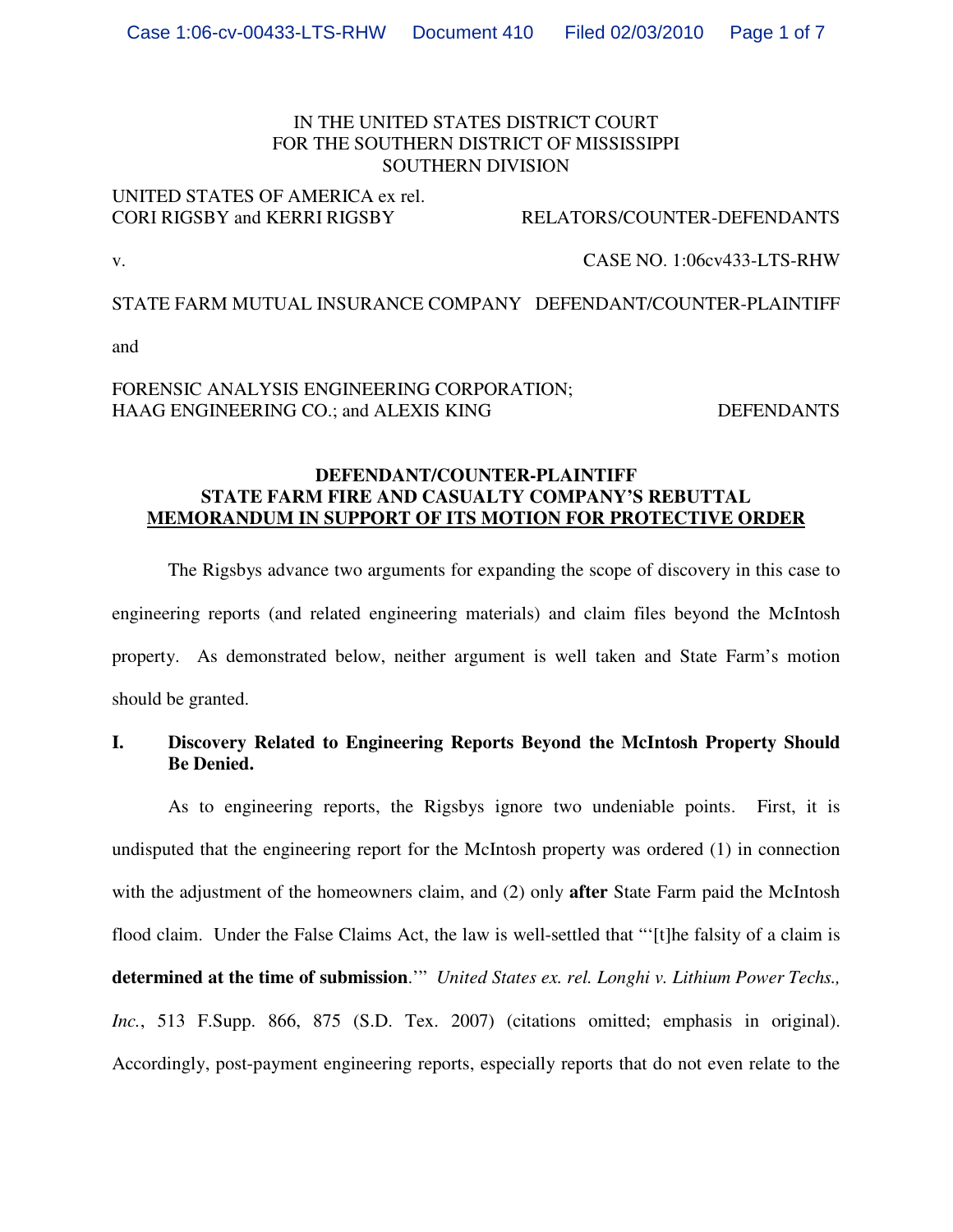# IN THE UNITED STATES DISTRICT COURT FOR THE SOUTHERN DISTRICT OF MISSISSIPPI SOUTHERN DIVISION

# UNITED STATES OF AMERICA ex rel.<br>CORI RIGSBY and KERRI RIGSBY

#### RELATORS/COUNTER-DEFENDANTS

v. CASE NO. 1:06cv433-LTS-RHW

STATE FARM MUTUAL INSURANCE COMPANY DEFENDANT/COUNTER-PLAINTIFF

and

# FORENSIC ANALYSIS ENGINEERING CORPORATION; HAAG ENGINEERING CO.; and ALEXIS KING DEFENDANTS

# **DEFENDANT/COUNTER-PLAINTIFF STATE FARM FIRE AND CASUALTY COMPANY'S REBUTTAL MEMORANDUM IN SUPPORT OF ITS MOTION FOR PROTECTIVE ORDER**

The Rigsbys advance two arguments for expanding the scope of discovery in this case to engineering reports (and related engineering materials) and claim files beyond the McIntosh property. As demonstrated below, neither argument is well taken and State Farm's motion should be granted.

# **I. Discovery Related to Engineering Reports Beyond the McIntosh Property Should Be Denied.**

As to engineering reports, the Rigsbys ignore two undeniable points. First, it is undisputed that the engineering report for the McIntosh property was ordered (1) in connection with the adjustment of the homeowners claim, and (2) only **after** State Farm paid the McIntosh flood claim. Under the False Claims Act, the law is well-settled that "'[t]he falsity of a claim is **determined at the time of submission**.'" *United States ex. rel. Longhi v. Lithium Power Techs., Inc.*, 513 F.Supp. 866, 875 (S.D. Tex. 2007) (citations omitted; emphasis in original). Accordingly, post-payment engineering reports, especially reports that do not even relate to the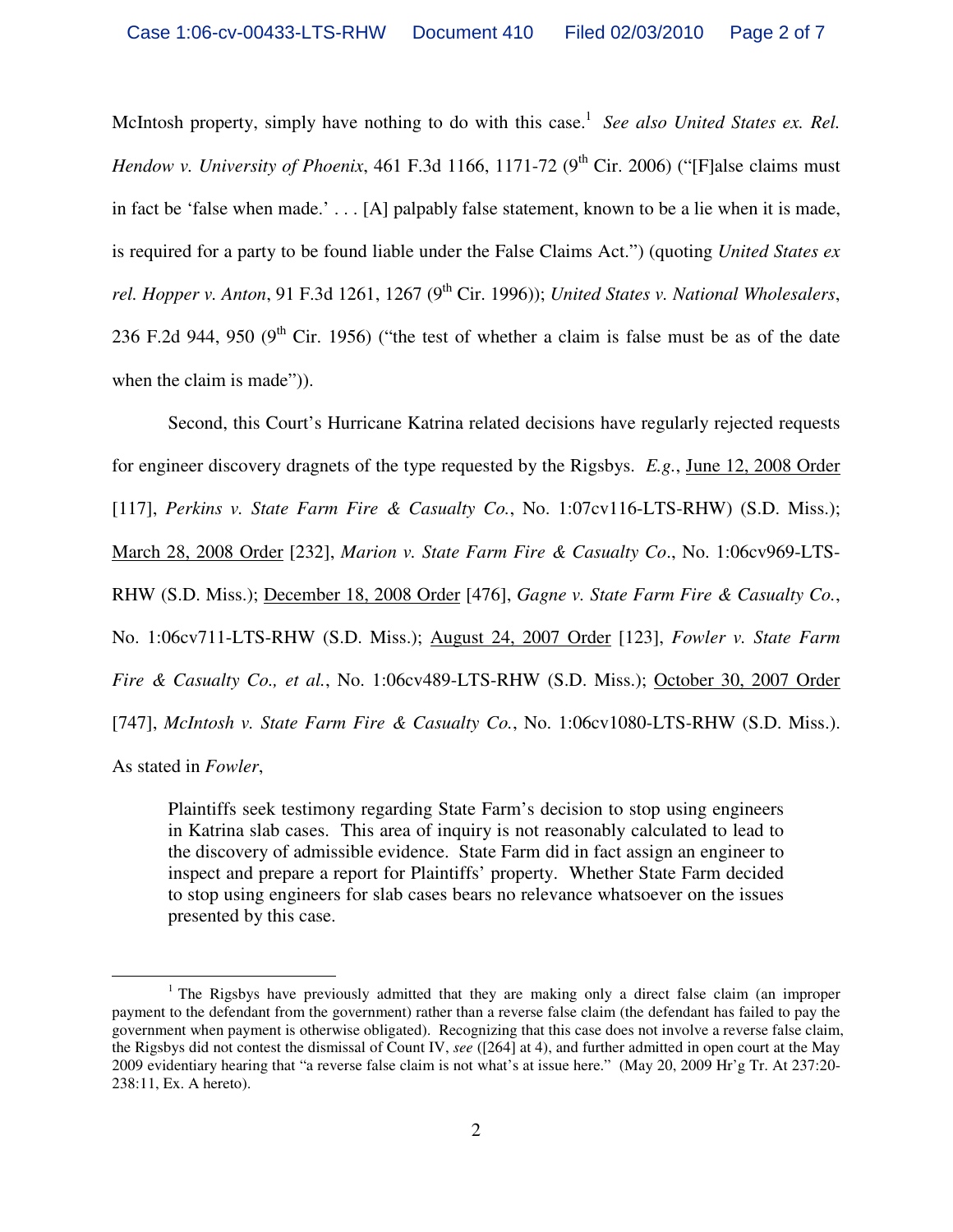McIntosh property, simply have nothing to do with this case.<sup>1</sup> See also United States ex. Rel. *Hendow v. University of Phoenix*, 461 F.3d 1166, 1171-72 (9<sup>th</sup> Cir. 2006) ("[F]alse claims must in fact be 'false when made.' . . . [A] palpably false statement, known to be a lie when it is made, is required for a party to be found liable under the False Claims Act.") (quoting *United States ex rel. Hopper v. Anton, 91 F.3d 1261, 1267 (9<sup>th</sup> Cir. 1996)); <i>United States v. National Wholesalers,* 236 F.2d 944, 950 (9<sup>th</sup> Cir. 1956) ("the test of whether a claim is false must be as of the date when the claim is made")).

Second, this Court's Hurricane Katrina related decisions have regularly rejected requests for engineer discovery dragnets of the type requested by the Rigsbys. *E.g.*, June 12, 2008 Order [117], *Perkins v. State Farm Fire & Casualty Co.*, No. 1:07cv116-LTS-RHW) (S.D. Miss.); March 28, 2008 Order [232], *Marion v. State Farm Fire & Casualty Co*., No. 1:06cv969-LTS-RHW (S.D. Miss.); December 18, 2008 Order [476], *Gagne v. State Farm Fire & Casualty Co.*, No. 1:06cv711-LTS-RHW (S.D. Miss.); August 24, 2007 Order [123], *Fowler v. State Farm Fire & Casualty Co., et al.*, No. 1:06cv489-LTS-RHW (S.D. Miss.); October 30, 2007 Order [747], *McIntosh v. State Farm Fire & Casualty Co.*, No. 1:06cv1080-LTS-RHW (S.D. Miss.). As stated in *Fowler*,

Plaintiffs seek testimony regarding State Farm's decision to stop using engineers in Katrina slab cases. This area of inquiry is not reasonably calculated to lead to the discovery of admissible evidence. State Farm did in fact assign an engineer to inspect and prepare a report for Plaintiffs' property. Whether State Farm decided to stop using engineers for slab cases bears no relevance whatsoever on the issues presented by this case.

 $\overline{a}$ 

<sup>&</sup>lt;sup>1</sup> The Rigsbys have previously admitted that they are making only a direct false claim (an improper payment to the defendant from the government) rather than a reverse false claim (the defendant has failed to pay the government when payment is otherwise obligated). Recognizing that this case does not involve a reverse false claim, the Rigsbys did not contest the dismissal of Count IV, *see* ([264] at 4), and further admitted in open court at the May 2009 evidentiary hearing that "a reverse false claim is not what's at issue here." (May 20, 2009 Hr'g Tr. At 237:20- 238:11, Ex. A hereto).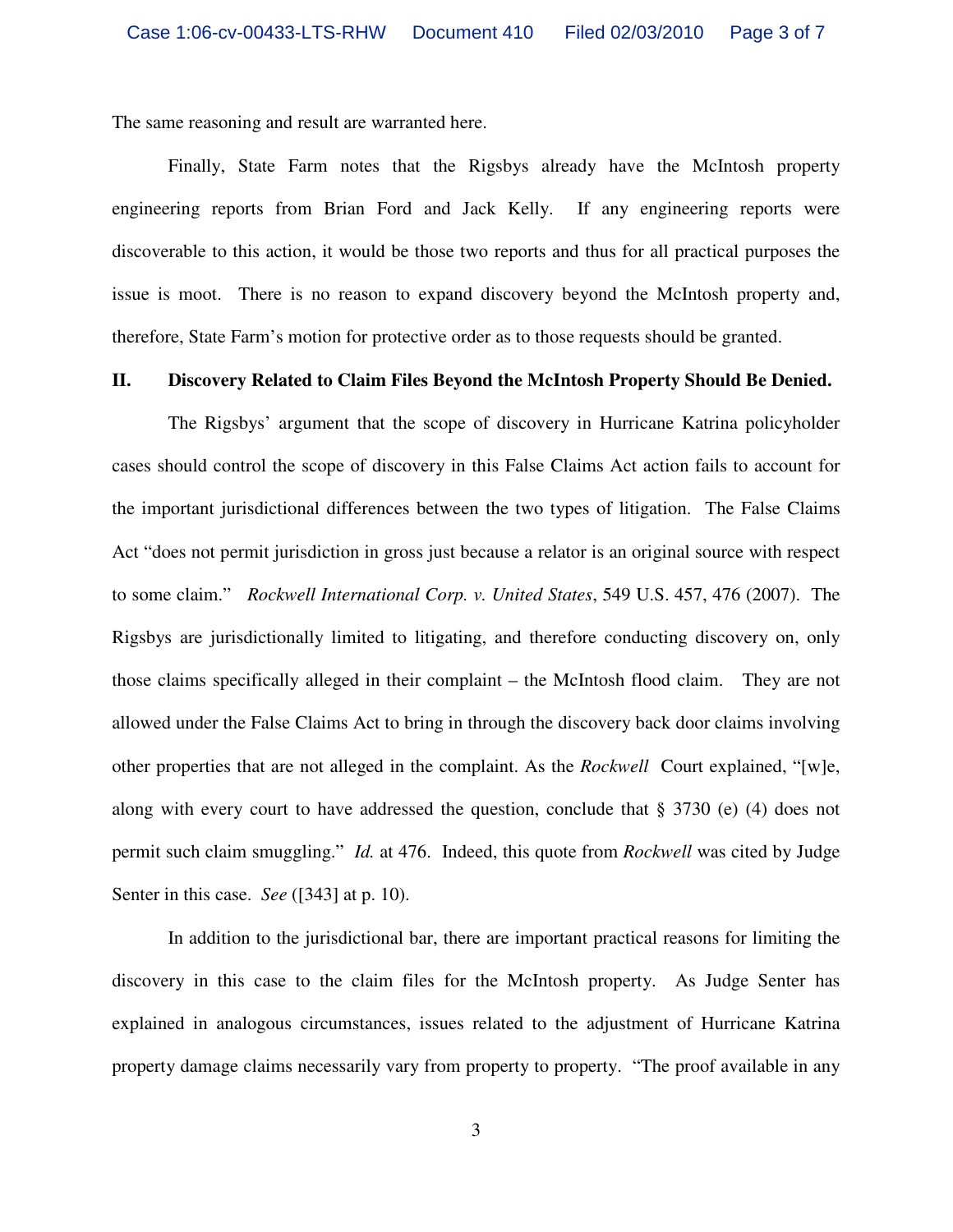The same reasoning and result are warranted here.

Finally, State Farm notes that the Rigsbys already have the McIntosh property engineering reports from Brian Ford and Jack Kelly. If any engineering reports were discoverable to this action, it would be those two reports and thus for all practical purposes the issue is moot. There is no reason to expand discovery beyond the McIntosh property and, therefore, State Farm's motion for protective order as to those requests should be granted.

#### **II. Discovery Related to Claim Files Beyond the McIntosh Property Should Be Denied.**

The Rigsbys' argument that the scope of discovery in Hurricane Katrina policyholder cases should control the scope of discovery in this False Claims Act action fails to account for the important jurisdictional differences between the two types of litigation. The False Claims Act "does not permit jurisdiction in gross just because a relator is an original source with respect to some claim." *Rockwell International Corp. v. United States*, 549 U.S. 457, 476 (2007). The Rigsbys are jurisdictionally limited to litigating, and therefore conducting discovery on, only those claims specifically alleged in their complaint – the McIntosh flood claim. They are not allowed under the False Claims Act to bring in through the discovery back door claims involving other properties that are not alleged in the complaint. As the *Rockwell* Court explained, "[w]e, along with every court to have addressed the question, conclude that  $\S 3730$  (e) (4) does not permit such claim smuggling." *Id.* at 476. Indeed, this quote from *Rockwell* was cited by Judge Senter in this case. *See* ([343] at p. 10).

 In addition to the jurisdictional bar, there are important practical reasons for limiting the discovery in this case to the claim files for the McIntosh property. As Judge Senter has explained in analogous circumstances, issues related to the adjustment of Hurricane Katrina property damage claims necessarily vary from property to property. "The proof available in any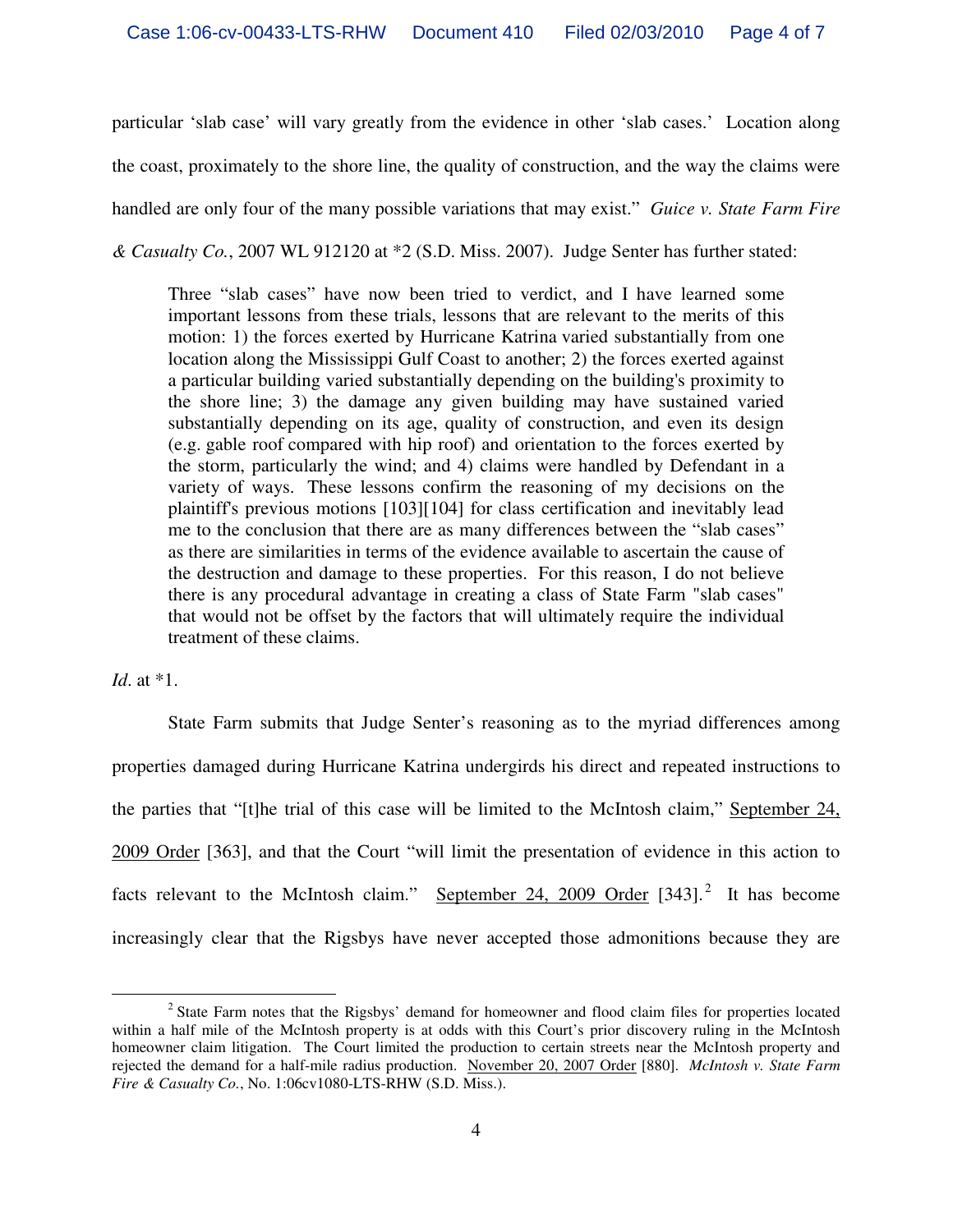particular 'slab case' will vary greatly from the evidence in other 'slab cases.' Location along the coast, proximately to the shore line, the quality of construction, and the way the claims were handled are only four of the many possible variations that may exist." *Guice v. State Farm Fire & Casualty Co.*, 2007 WL 912120 at \*2 (S.D. Miss. 2007). Judge Senter has further stated:

Three "slab cases" have now been tried to verdict, and I have learned some important lessons from these trials, lessons that are relevant to the merits of this motion: 1) the forces exerted by Hurricane Katrina varied substantially from one location along the Mississippi Gulf Coast to another; 2) the forces exerted against a particular building varied substantially depending on the building's proximity to the shore line; 3) the damage any given building may have sustained varied substantially depending on its age, quality of construction, and even its design (e.g. gable roof compared with hip roof) and orientation to the forces exerted by the storm, particularly the wind; and 4) claims were handled by Defendant in a variety of ways. These lessons confirm the reasoning of my decisions on the plaintiff's previous motions [103][104] for class certification and inevitably lead me to the conclusion that there are as many differences between the "slab cases" as there are similarities in terms of the evidence available to ascertain the cause of the destruction and damage to these properties. For this reason, I do not believe there is any procedural advantage in creating a class of State Farm "slab cases" that would not be offset by the factors that will ultimately require the individual treatment of these claims.

# *Id*. at \*1.

 State Farm submits that Judge Senter's reasoning as to the myriad differences among properties damaged during Hurricane Katrina undergirds his direct and repeated instructions to the parties that "[t]he trial of this case will be limited to the McIntosh claim," September 24, 2009 Order [363], and that the Court "will limit the presentation of evidence in this action to facts relevant to the McIntosh claim." September 24, 2009 Order  $[343]$ .<sup>2</sup> It has become increasingly clear that the Rigsbys have never accepted those admonitions because they are

 $\overline{a}$ <sup>2</sup> State Farm notes that the Rigsbys' demand for homeowner and flood claim files for properties located within a half mile of the McIntosh property is at odds with this Court's prior discovery ruling in the McIntosh homeowner claim litigation. The Court limited the production to certain streets near the McIntosh property and rejected the demand for a half-mile radius production. November 20, 2007 Order [880]. *McIntosh v. State Farm Fire & Casualty Co.*, No. 1:06cv1080-LTS-RHW (S.D. Miss.).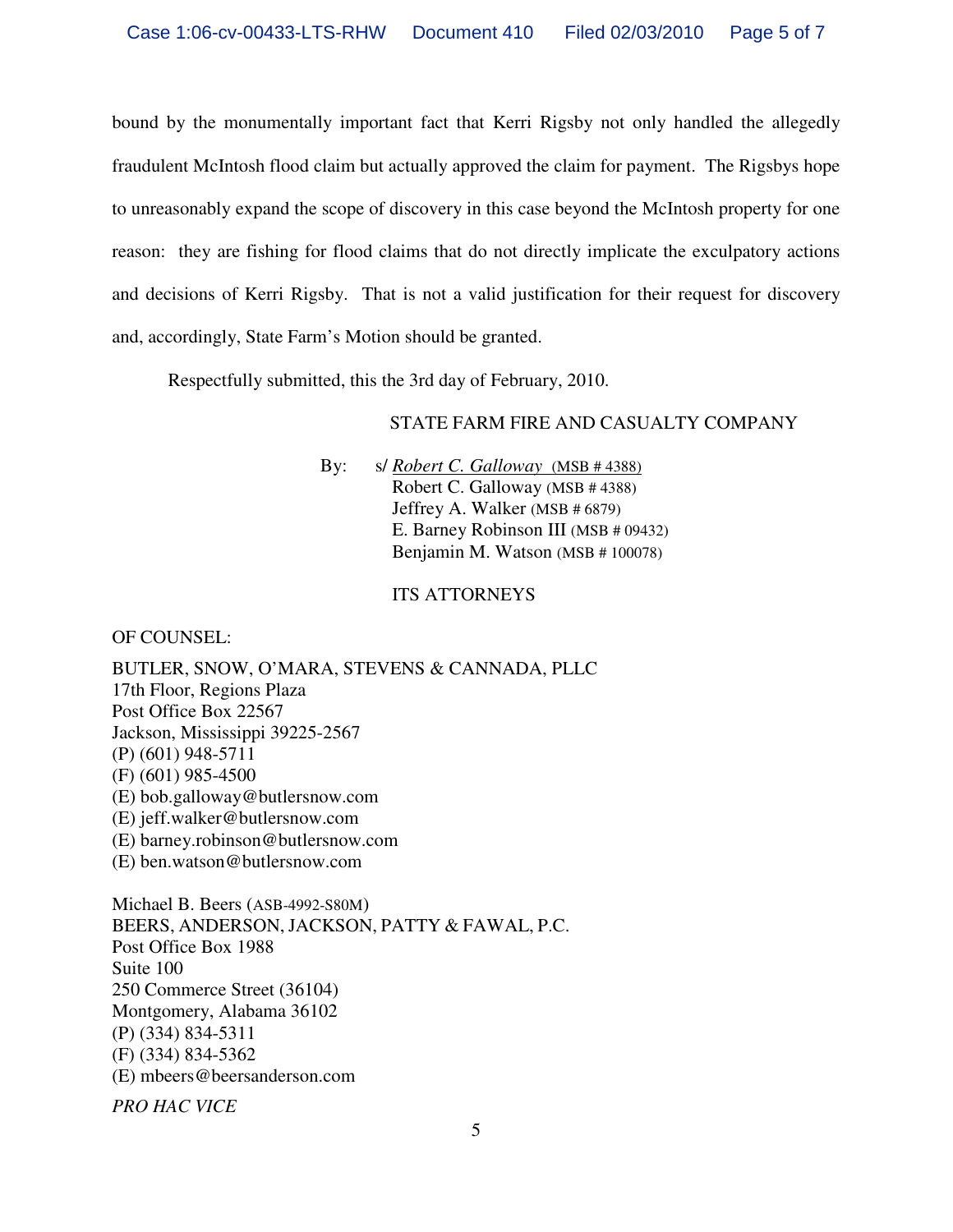bound by the monumentally important fact that Kerri Rigsby not only handled the allegedly fraudulent McIntosh flood claim but actually approved the claim for payment. The Rigsbys hope to unreasonably expand the scope of discovery in this case beyond the McIntosh property for one reason: they are fishing for flood claims that do not directly implicate the exculpatory actions and decisions of Kerri Rigsby. That is not a valid justification for their request for discovery and, accordingly, State Farm's Motion should be granted.

Respectfully submitted, this the 3rd day of February, 2010.

## STATE FARM FIRE AND CASUALTY COMPANY

By: s/ *Robert C. Galloway* (MSB # 4388) Robert C. Galloway (MSB # 4388) Jeffrey A. Walker (MSB # 6879) E. Barney Robinson III (MSB # 09432) Benjamin M. Watson (MSB # 100078)

### ITS ATTORNEYS

OF COUNSEL:

BUTLER, SNOW, O'MARA, STEVENS & CANNADA, PLLC 17th Floor, Regions Plaza Post Office Box 22567 Jackson, Mississippi 39225-2567 (P) (601) 948-5711 (F) (601) 985-4500 (E) bob.galloway@butlersnow.com (E) jeff.walker@butlersnow.com (E) barney.robinson@butlersnow.com (E) ben.watson@butlersnow.com

Michael B. Beers (ASB-4992-S80M) BEERS, ANDERSON, JACKSON, PATTY & FAWAL, P.C. Post Office Box 1988 Suite 100 250 Commerce Street (36104) Montgomery, Alabama 36102 (P) (334) 834-5311 (F) (334) 834-5362 (E) mbeers@beersanderson.com

*PRO HAC VICE*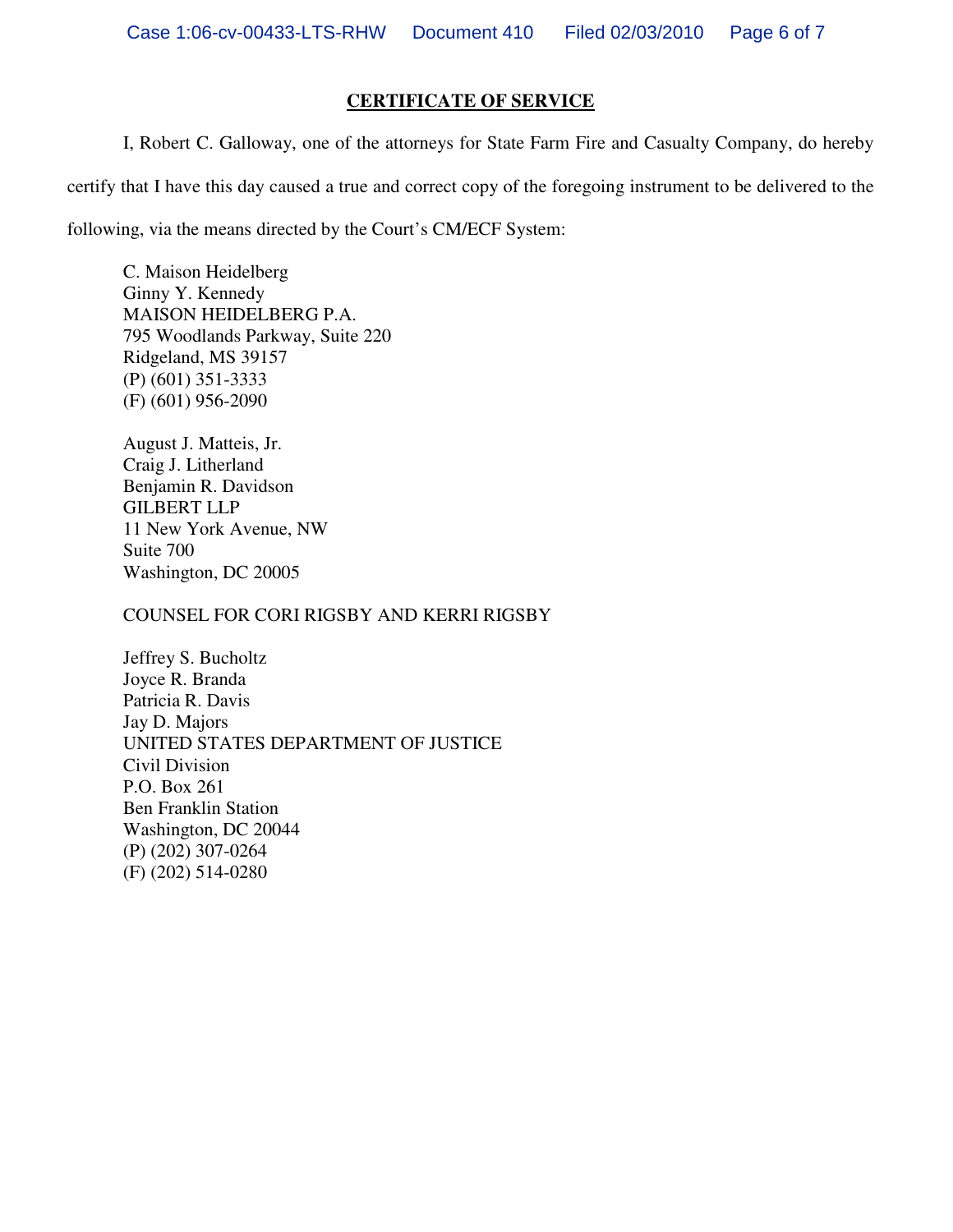# **CERTIFICATE OF SERVICE**

I, Robert C. Galloway, one of the attorneys for State Farm Fire and Casualty Company, do hereby

certify that I have this day caused a true and correct copy of the foregoing instrument to be delivered to the

following, via the means directed by the Court's CM/ECF System:

C. Maison Heidelberg Ginny Y. Kennedy MAISON HEIDELBERG P.A. 795 Woodlands Parkway, Suite 220 Ridgeland, MS 39157 (P) (601) 351-3333 (F) (601) 956-2090

August J. Matteis, Jr. Craig J. Litherland Benjamin R. Davidson GILBERT LLP 11 New York Avenue, NW Suite 700 Washington, DC 20005

COUNSEL FOR CORI RIGSBY AND KERRI RIGSBY

Jeffrey S. Bucholtz Joyce R. Branda Patricia R. Davis Jay D. Majors UNITED STATES DEPARTMENT OF JUSTICE Civil Division P.O. Box 261 Ben Franklin Station Washington, DC 20044 (P) (202) 307-0264 (F) (202) 514-0280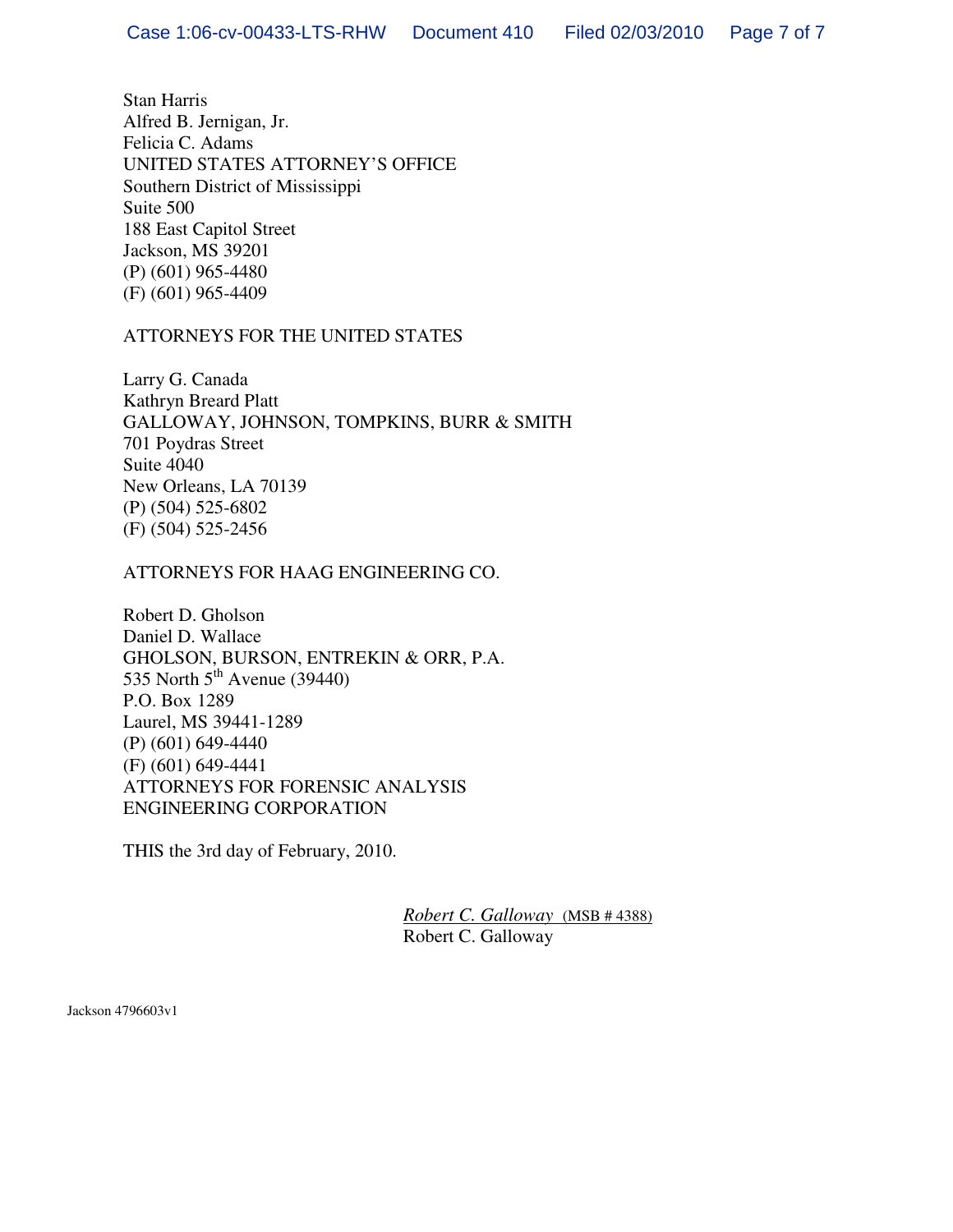Stan Harris Alfred B. Jernigan, Jr. Felicia C. Adams UNITED STATES ATTORNEY'S OFFICE Southern District of Mississippi Suite 500 188 East Capitol Street Jackson, MS 39201 (P) (601) 965-4480 (F) (601) 965-4409

### ATTORNEYS FOR THE UNITED STATES

Larry G. Canada Kathryn Breard Platt GALLOWAY, JOHNSON, TOMPKINS, BURR & SMITH 701 Poydras Street Suite 4040 New Orleans, LA 70139 (P) (504) 525-6802 (F) (504) 525-2456

ATTORNEYS FOR HAAG ENGINEERING CO.

Robert D. Gholson Daniel D. Wallace GHOLSON, BURSON, ENTREKIN & ORR, P.A. 535 North  $5<sup>th</sup>$  Avenue (39440) P.O. Box 1289 Laurel, MS 39441-1289 (P) (601) 649-4440 (F) (601) 649-4441 ATTORNEYS FOR FORENSIC ANALYSIS ENGINEERING CORPORATION

THIS the 3rd day of February, 2010.

*Robert C. Galloway* (MSB # 4388) Robert C. Galloway

Jackson 4796603v1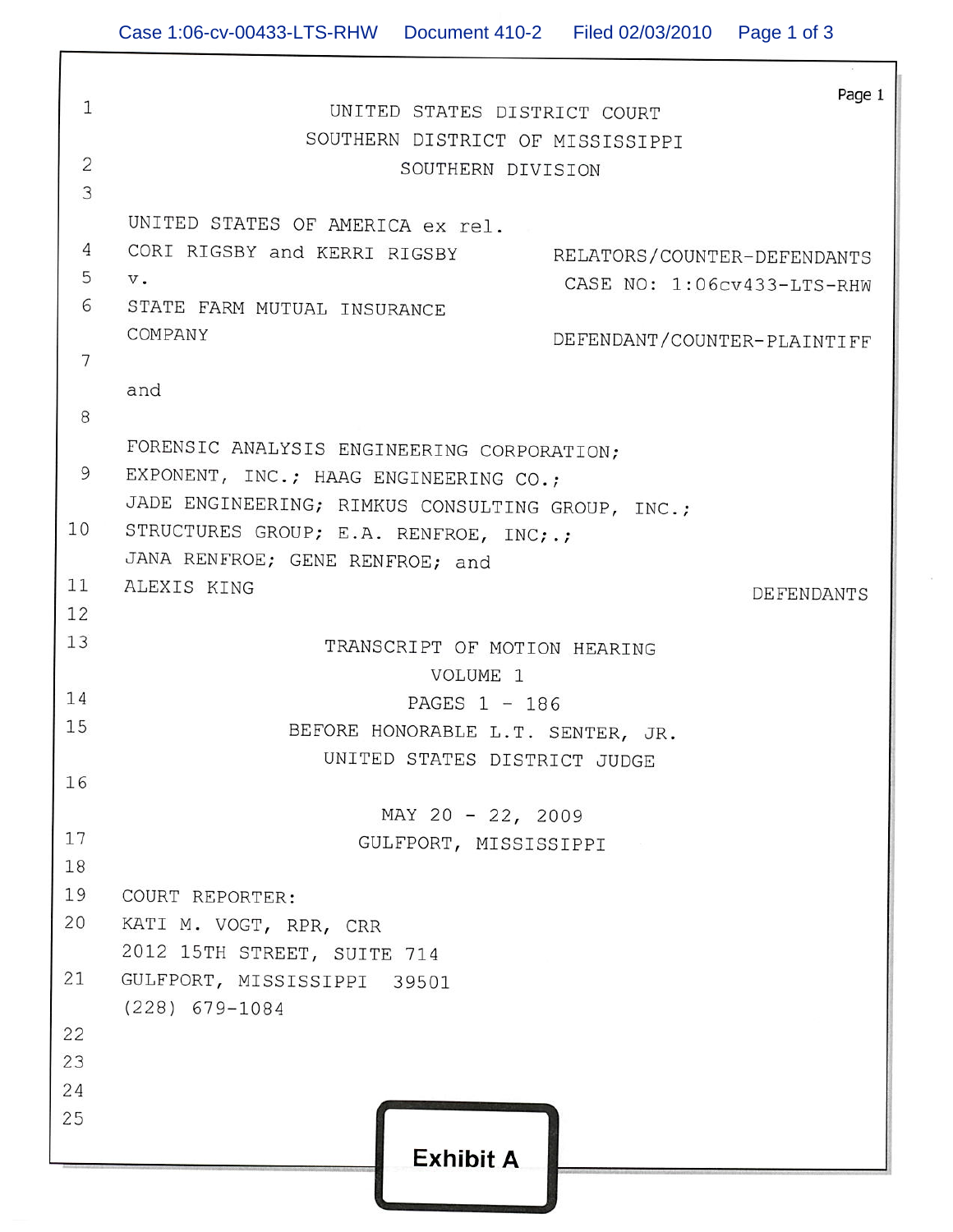f

| $\mathbf{1}$   | Page 1<br>UNITED STATES DISTRICT COURT                            |
|----------------|-------------------------------------------------------------------|
|                | SOUTHERN DISTRICT OF MISSISSIPPI                                  |
| $\overline{2}$ | SOUTHERN DIVISION                                                 |
| 3              |                                                                   |
|                | UNITED STATES OF AMERICA ex rel.                                  |
| 4              |                                                                   |
| 5              | CORI RIGSBY and KERRI RIGSBY RELATORS/COUNTER-DEFENDANTS<br>$V$ . |
| 6              | CASE NO: 1:06cv433-LTS-RHW<br>STATE FARM MUTUAL INSURANCE         |
|                | COMPANY                                                           |
| 7              | DEFENDANT/COUNTER-PLAINTIFF                                       |
|                | and                                                               |
| 8              |                                                                   |
|                | FORENSIC ANALYSIS ENGINEERING CORPORATION;                        |
| 9              | EXPONENT, INC.; HAAG ENGINEERING CO.;                             |
|                | JADE ENGINEERING; RIMKUS CONSULTING GROUP, INC.;                  |
| 10             | STRUCTURES GROUP; E.A. RENFROE, INC; .;                           |
|                | JANA RENFROE; GENE RENFROE; and                                   |
| 11             | ALEXIS KING                                                       |
| 12             | <b>DEFENDANTS</b>                                                 |
| 13             | TRANSCRIPT OF MOTION HEARING                                      |
|                | VOLUME 1                                                          |
| 14             | PAGES 1 - 186                                                     |
| 15             | BEFORE HONORABLE L.T. SENTER, JR.                                 |
|                | UNITED STATES DISTRICT JUDGE                                      |
| 16             |                                                                   |
|                | MAY 20 - 22, 2009                                                 |
| 17             | GULFPORT, MISSISSIPPI                                             |
| 18             |                                                                   |
| 19             | COURT REPORTER:                                                   |
| 20             | KATI M. VOGT, RPR, CRR                                            |
|                | 2012 15TH STREET, SUITE 714                                       |
| 21             | GULFPORT, MISSISSIPPI 39501                                       |
|                | $(228)$ 679-1084                                                  |
| 22             |                                                                   |
| 23             |                                                                   |
| 24             |                                                                   |
| 25             |                                                                   |
|                | <b>Exhibit A</b>                                                  |
|                |                                                                   |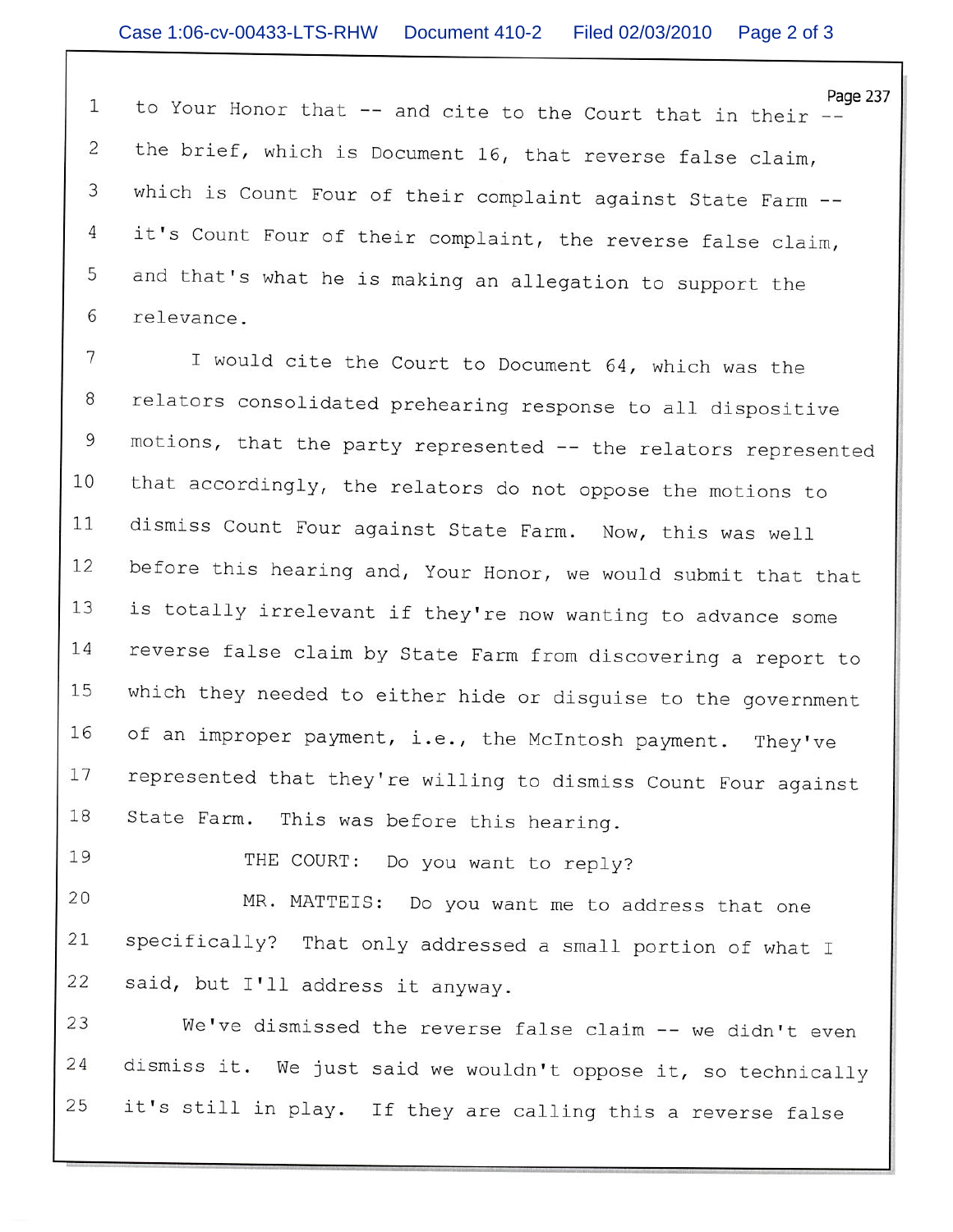Page 237  $\mathbf{1}$ to Your Honor that -- and cite to the Court that in their -the brief, which is Document 16, that reverse false claim, 2 which is Count Four of their complaint against State Farm --3 it's Count Four of their complaint, the reverse false claim,  $\overline{4}$ 5 and that's what he is making an allegation to support the 6 relevance.

7 I would cite the Court to Document 64, which was the relators consolidated prehearing response to all dispositive 8 motions, that the party represented -- the relators represented 9 that accordingly, the relators do not oppose the motions to 10 dismiss Count Four against State Farm. Now, this was well 11 before this hearing and, Your Honor, we would submit that that 12 is totally irrelevant if they're now wanting to advance some 13 14 reverse false claim by State Farm from discovering a report to which they needed to either hide or disguise to the government 15 of an improper payment, i.e., the McIntosh payment. They've 16 represented that they're willing to dismiss Count Four against 17 18 State Farm. This was before this hearing.

19

THE COURT: Do you want to reply?

20 MR. MATTEIS: Do you want me to address that one specifically? That only addressed a small portion of what I 21 22 said, but I'll address it anyway.

23 We've dismissed the reverse false claim -- we didn't even dismiss it. We just said we wouldn't oppose it, so technically 24 25 it's still in play. If they are calling this a reverse false